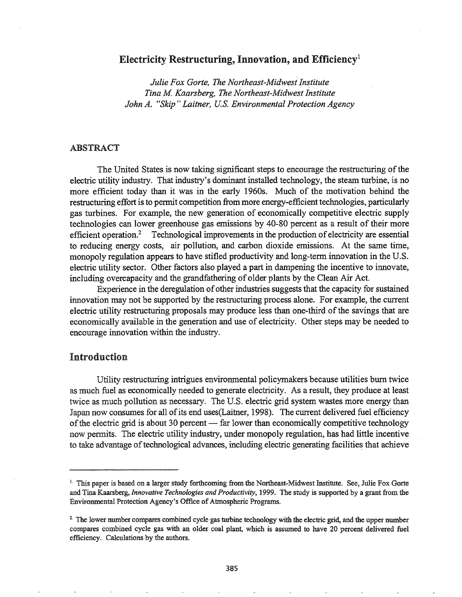## Electricity Restructuring, Innovation, and Efficiency<sup>1</sup>

*Julie Fox Gorte, The Northeast-Midwest Institute Tina M Kaarsberg, The Northeast-Midwest Institute John A.* "Skip" Laitner, U.S. *Environmental Protection Agency* 

## ABSTRACT

The United States is now taking significant steps to encourage the restructuring of the electric utility industry. That industry's dominant installed technology, the steam turbine, is no more efficient today than it was in the early 1960s. Much of the motivation behind the restructuring effort is to permit competition from more energy-efficient technologies, particularly gas turbines. For example, the new generation of economically competitive electric supply technologies can lower greenhouse gas emissions by 40-80 percent as a result of their more efficient operation.2 Technological improvements in the production of electricity are essential to reducing energy costs, air pollution, and carbon dioxide emissions. At the same time, monopoly regulation appears to have stifled productivity and long-term innovation in the U.S. electric utility sector. Other factors also played a part in dampening the incentive to innovate, including overcapacity and the grandfathering of older plants by the Clean Air Act.

Experience in the deregulation of other industries suggests that the capacity for sustained innovation may not be supported by the restructuring process alone. For example, the current electric utility restructuring proposals may produce less than one-third of the savings that are economically available in the generation and use of electricity. Other steps may be needed to encourage innovation.within the industry.

# Introduction

Utility restructuring intrigues environmental policymakers because utilities burn twice as much fuel as economically needed to generate electricity. As a result, they produce at least twice as much pollution as necessary. The U.S. electric grid system wastes more energy than Japan now consumes for all of its end uses (Laitner, 1998). The current delivered fuel efficiency of the electric grid is about 30 percent  $-$  far lower than economically competitive technology now permits. The electric utility industry, under monopoly regulation, has had little incentive to take advantage of technological advances, including electric generating facilities that achieve

<sup>1.</sup> This paper is based on a larger study forthcoming from the Northeast-Midwest Institute. See, Julie Fox Gorte and Tina Kaarsberg, *Innovative Technologies and Productivity,* 1999. The study is supported by a grant from the Environmental Protection Agency's Office of Atmospheric Programs.

<sup>&</sup>lt;sup>2</sup>. The lower number compares combined cycle gas turbine technology with the electric grid, and the upper number compares combined cycle gas with an older coal plant, which is assumed to have 20 percent delivered fuel efficiency. Calculations by the authors.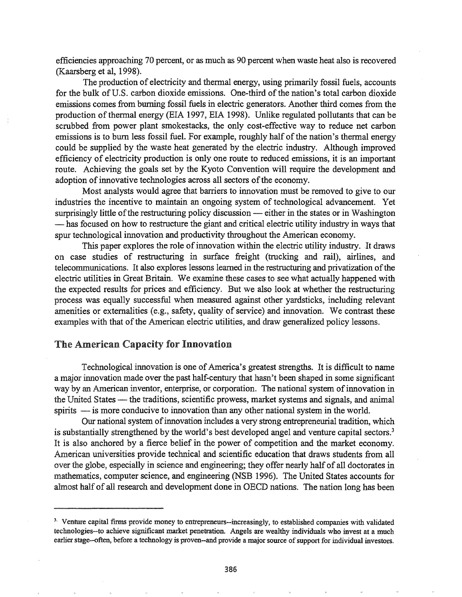efficiencies approaching 70 percent, or as much as 90 percent when waste heat also is recovered (Kaarsberg et aI, 1998).

The production of electricity and thermal energy, using primarily fossil fuels, accounts for the bulk of U.S. carbon dioxide emissions. One-third of the nation's total carbon dioxide emissions comes from burning fossil fuels in electric generators. Another third comes from the production of thermal energy (EIA 1997, EIA 1998). Unlike regulated pollutants that can be scrubbed from power plant smokestacks, the only cost-effective way to reduce net carbon emissions is to burn less fossil fuel. For example, roughly half of the nation's thermal energy could be supplied by the waste heat generated by the electric industry. Although improved efficiency of electricity production is only one route to reduced emissions, it is an important route. Achieving the goals set by the Kyoto Convention will require the development and adoption of innovative technologies across all sectors of the economy.

Most analysts would agree that barriers to innovation must be removed to give to our industries the incentive to maintain an ongoing system of technological advancement. Yet surprisingly little of the restructuring policy discussion — either in the states or in Washington - has focused on how to restructure the giant and critical electric utility industry in ways that spur technological innovation and productivity throughout the American economy.

This paper explores the role of innovation within the electric utility industry. It draws on case studies of restructuring in surface freight (trucking and rail), airlines, and telecommunications. It also explores lessons learned in the restructuring and privatization ofthe electric utilities in Great Britain. We examine these cases to see what actually happened with the expected results for prices and efficiency. But we also look at whether the restructuring process was equally successful when measured against other yardsticks, including relevant amenities or externalities (e.g., safety, quality of service) and innovation. We contrast these examples with that of the American electric utilities, and draw generalized policy lessons.

# The American Capacity for Innovation

Technological innovation is one of America's greatest strengths. It is difficult to name a major innovation made over the past half-century that hasn't been shaped in some significant way by an American inventor, enterprise, or corporation. The national system of innovation in the United States — the traditions, scientific prowess, market systems and signals, and animal spirits - is more conducive to innovation than any other national system in the world.

Our national system of innovation includes a very strong entrepreneurial tradition, which is substantially strengthened by the world's best developed angel and venture capital sectors.<sup>3</sup> It is also anchored by a fierce belief in the power of competition and the market economy. American universities provide technical and scientific education that draws students from all over the globe, especially in science and engineering; they offer nearly half of all doctorates in mathematics, computer science, and engineering (NSB 1996). The United States accounts for almost half of all research and development done in OECD nations. The nation long has been

<sup>&</sup>lt;sup>3.</sup> Venture capital firms provide money to entrepreneurs--increasingly, to established companies with validated technologies--to achieve significant market penetration. Angels are wealthy individuals who invest at a much earlier stage--often, before a technology is proven--and provide a major source of support for individual investors.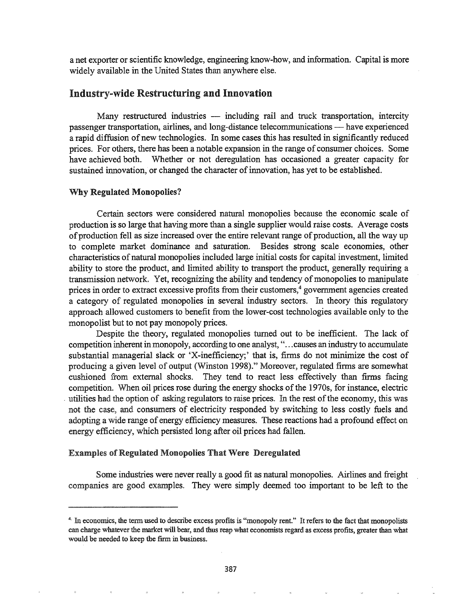a net exporter or scientific knowledge, engineering know-how, and information. Capital is more widely available in the United States than anywhere else.

## Industry-wide Restructuring and Innovation

Many restructured industries - including rail and truck transportation, intercity passenger transportation, airlines, and long-distance telecommunications - have experienced a rapid diffusion of new technologies. In some cases this has resulted in significantly reduced prices. For others, there has been a notable expansion in the range of consumer choices. Some have achieved both. Whether or not deregulation has occasioned a greater capacity for sustained innovation, or changed the character of innovation, has yet to be established.

### Why Regulated Monopolies?

Certain sectors were considered natural monopolies because the economic scale of production is so large that having more than a single supplier would raise costs. Average costs of production fell as size increased over the entire relevant range of production, all the way up to complete market dominance and saturation. Besides strong scale economies, other characteristics of natural monopolies included large initial costs for capital investment, limited ability to store the product, and limited ability to transport the product, generally requiring a transmission network. Yet, recognizing the ability and tendency of monopolies to manipulate prices in order to extract excessive profits from their customers,<sup>4</sup> government agencies created a category of regulated monopolies in several industry sectors. In theory this regulatory approach allowed customers to benefit from the lower-cost technologies available only to the monopolist but to not pay monopoly prices.

Despite the theory, regulated monopolies turned out to be inefficient. The lack of competition inherent in monopoly, according to one analyst, " ...causes an industry to accumulate substantial managerial slack or 'X-inefficiency;' that is, firms do not minimize the cost of producing a given level of output (Winston 1998)." Moreover, regulated firms are somewhat cushioned from external shocks. They tend to react less effectively than finns facing competition. When oil prices rose during the energy shocks of the 1970s, for instance, electric utilities had the option of asking regulators to raise prices. In the rest of the economy, this was not the case, and consumers of electricity responded by switching to less costly fuels and adopting a wide range of energy efficiency measures. These reactions had a profound effect on energy efficiency, which persisted long after oil prices had fallen.

### Examples of Regulated Monopolies That Were Deregulated

Some industries were never really a good fit as natural monopolies. Airlines and freight companies are good examples. They were simply deemed too important to be left to the

<sup>4.</sup> In economics, the term used to describe excess profits is "monopoly rent." It refers to the fact that monopolists can charge whatever the market will bear, and thus reap what economists regard as excess profits, greater than what would be needed to keep the firm in business.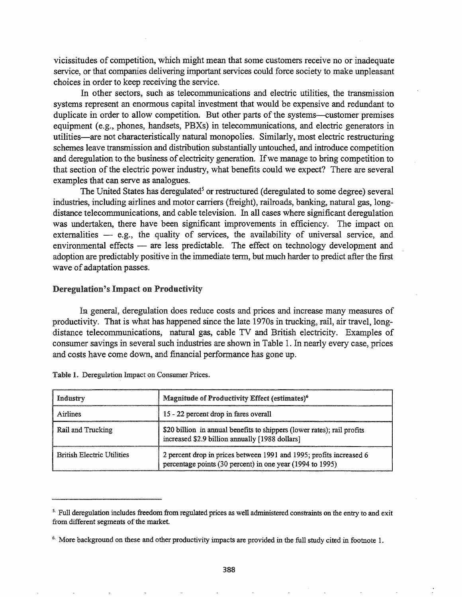vicissitudes of competition, which might mean that some customers receive no or inadequate service, or that companies delivering important services could force society to make unpleasant choices in order to keep receiving the service.

In other sectors, such as telecommunications and electric utilities, the transmission systems represent an enormous capital investment that would be expensive and redundant to duplicate in order to allow competition. But other parts of the systems--customer premises equipment (e.g., phones, handsets, PBXs) in telecommunications, and electric generators in utilities-are not characteristically natural monopolies. Similarly, most electric restructuring schemes leave transmission and distribution substantially untouched, and introduce competition and deregulation to the business of electricity generation. If we manage to bring competition to that section of the electric power industry, what benefits could we expect? There are several examples that can serve as analogues.

The United States has deregulated<sup>5</sup> or restructured (deregulated to some degree) several industries, including airlines and motor carriers (freight), railroads, banking, natural gas, longdistance telecommunications, and cable television. In all cases where significant deregulation was undertaken, there have been significant improvements in efficiency. The impact on externalities  $-$  e.g., the quality of services, the availability of universal service, and environmental effects  $-$  are less predictable. The effect on technology development and adoption are predictably positive in the immediate term, but much harder to predict after the first wave of adaptation passes.

#### Deregulation's Impact on Productivity

Ia general, deregulation does reduce costs and prices and increase many measures of productivity. That is what has happened since the late 1970s in trucking, rail, air travel, longdistance telecommunications, natural gas, cable TV and British electricity. Examples of consumer savings in several such industries are shown in Table 1. In nearly every case, prices and costs have come down, and financial perfonnance has gone up.

| Industry                          | Magnitude of Productivity Effect (estimates) <sup>6</sup>                                                                        |  |
|-----------------------------------|----------------------------------------------------------------------------------------------------------------------------------|--|
| Airlines                          | 15 - 22 percent drop in fares overall                                                                                            |  |
| Rail and Trucking                 | \$20 billion in annual benefits to shippers (lower rates); rail profits<br>increased \$2.9 billion annually [1988 dollars]       |  |
| <b>British Electric Utilities</b> | 2 percent drop in prices between 1991 and 1995; profits increased 6<br>percentage points (30 percent) in one year (1994 to 1995) |  |

|  | Table 1. Deregulation Impact on Consumer Prices. |  |  |
|--|--------------------------------------------------|--|--|
|  |                                                  |  |  |

<sup>&</sup>lt;sup>5.</sup> Full deregulation includes freedom from regulated prices as well administered constraints on the entry to and exit from different segments of the market.

<sup>&</sup>lt;sup>6.</sup> More background on these and other productivity impacts are provided in the full study cited in footnote 1.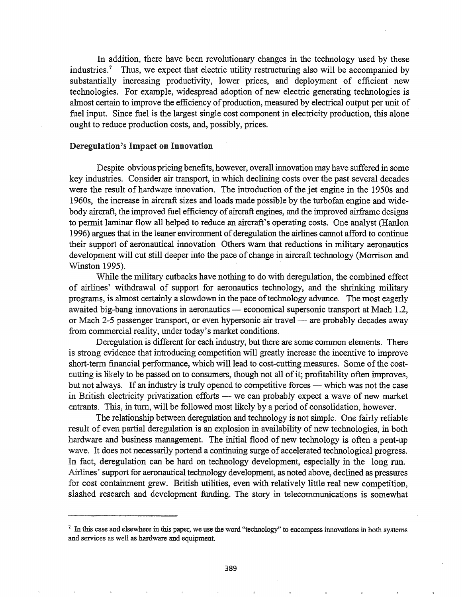In addition, there have been revolutionary changes in the technology used by these industries.<sup>7</sup> Thus, we expect that electric utility restructuring also will be accompanied by substantially increasing productivity, lower prices, and deployment of efficient new technologies. For example, widespread adoption of new electric generating technologies is almost certain to improve the efficiency of production, measured by electrical output per unit of fuel input. Since fuel is the largest single cost component in electricity production, this alone ought to reduce production costs, and, possibly, prices.

## Deregulation's Impact on Innovation

Despite obvious pricing benefits, however, overall innovation may have suffered in some key industries. Consider air transport, in which declining costs over the past several decades were the result of hardware innovation. The introduction of the jet engine in the 1950s and 1960s, the increase in aircraft sizes and loads made possible by the turbofan engine and widebody aircraft, the improved fuel efficiency of aircraft engines, and the improved airframe designs to permit laminar flow all helped to reduce an aircraft's operating costs. One analyst (Hanlon 1996) argues that in the leaner environment of deregulation the airlines cannot afford to continue their support of aeronautical innovation Others warn that reductions in military aeronautics development will cut still deeper into the pace of change in aircraft technology (Morrison and Winston 1995).

While the military cutbacks have nothing to do with deregulation, the combined effect of airlines' withdrawal of support for aeronautics technology, and the shrinking military programs, is almost certainly a slowdown in the pace of technology advance. The most eagerly awaited big-bang innovations in aeronautics — economical supersonic transport at Mach 1.2, or Mach 2-5 passenger transport, or even hypersonic air travel — are probably decades away from commercial reality, under today's market conditions.

Deregulation is different for each industry, but there are some common elements. There is strong evidence that introducing competition will greatly increase the incentive to improve short-term financial performance, which will lead to cost-cutting measures. Some of the costcutting is likely to be passed on to consumers, though not all of it; profitability often improves, but not always. If an industry is truly opened to competitive forces — which was not the case in British electricity privatization efforts  $-$  we can probably expect a wave of new market entrants. This, in turn, will be followed most likely by a period of consolidation, however.

The relationship between deregulation and technology is not simple. One fairly reliable result of even partial deregulation is an explosion in availability of new technologies, in both hardware and business management. The initial flood of new technology is often a pent-up wave. It does not necessarily portend a continuing surge of accelerated technological progress. In fact, deregulation can be hard on technology development, especially in the long run. Airlines' support for aeronautical technology development, as noted above, declined as pressures for cost containment grew. British utilities, even with relatively little real new competition, slashed research and development funding. The story in telecommunications is somewhat

<sup>&</sup>lt;sup>7.</sup> In this case and elsewhere in this paper, we use the word "technology" to encompass innovations in both systems and services as well as hardware and equipment.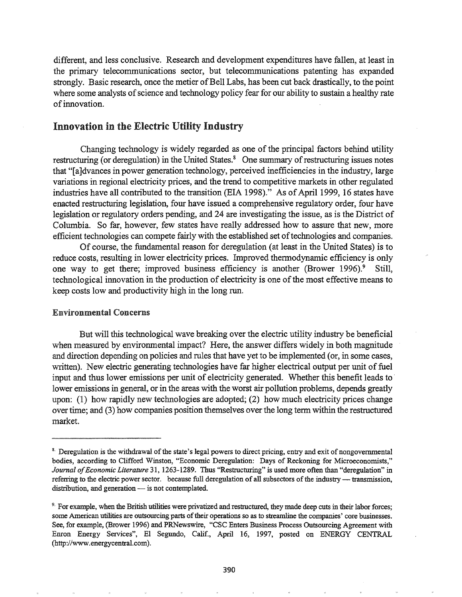different, and less conclusive. Research and development expenditures have fallen, at least in the primary telecommunications sector, but telecommunications patenting has expanded strongly. Basic research, once the metier of Bell Labs, has been cut back drastically, to the point where some analysts of science and technology policy fear for our ability to sustain a healthy rate ofinnovation.

## Innovation in the Electric Utility Industry

Changing technology is widely regarded as one of the principal factors behind utility restructuring (or deregulation) in the United States.<sup>8</sup> One summary of restructuring issues notes that "[a]dvances in power generation technology, perceived inefficiencies in the industry, large variations in regional electricity prices, and the trend to competitive markets in other regulated industries have all contributed to the transition (EIA 1998)." As of April 1999, 16 states have enacted restructuring legislation, four have issued a comprehensive regulatory order, four have legislation or regulatory orders pending, and 24 are investigating the issue, as is the District of Columbia. So far, however, few states have really addressed how to assure that new, more efficient technologies can compete fairly with the established set of technologies and companies.

Of course, the fundamental reason for deregulation (at least in the United States) is to reduce costs, resulting in lower electricity prices. Improved thermodynamic efficiency is only one way to get there; improved business efficiency is another (Brower 1996).<sup>9</sup> Still, technological innovation in the production of electricity is one of the most effective means to keep costs low and productivity high in the long run.

#### Environmental Concerns

But will this technological wave breaking over the electric utility industry be beneficial when measured by environmental impact? Here, the answer differs widely in both magnitude and direction depending on policies and rules that have yet to be implemented (or, in some cases, written). New electric generating technologies have far higher electrical output per unit of fuel input and thus lower emissions per unit of electricity generated. Whether this benefit leads to lower emissions in general, or in the areas with the worst air pollution problems, depends greatly upon: (1) how rapidly new technologies are adopted; (2) how much electricity prices change over time; and (3) how companies position themselves over the long term within the restructured market.

<sup>&</sup>lt;sup>8.</sup> Deregulation is the withdrawal of the state's legal powers to direct pricing, entry and exit of nongovernmental bodies, according to Clifford Winston, "Economic Deregulation: Days of Reckoning for Microeconomists," *Journal ofEconomic Literature* 31, 1263-1289. Thus "Restructuring" is used more often than "deregulation" in referring to the electric power sector. because full deregulation of all subsectors of the industry - transmission, distribution, and generation  $-$  is not contemplated.

<sup>&</sup>lt;sup>9.</sup> For example, when the British utilities were privatized and restructured, they made deep cuts in their labor forces; some American utilities are outsourcing parts of their operations so as to streamline the companies' core businesses. See, for example, (Brower 1996) and PRNewswire, "CSC Enters Business Process Outsourcing Agreement with Enron Energy Services", El Segundo, Calif., April 16, 1997, posted on ENERGY CENTRAL (http://www.energycentral.com).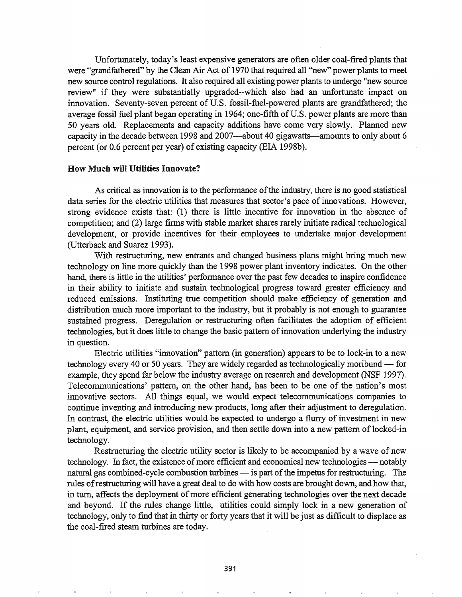Unfortunately, today's least expensive generators are often older coal-fired plants that were "grandfathered" by the Clean Air Act of 1970 that required all "new" power plants to meet new source control regulations. It also required all existing power plants to undergo "new source review" if they were substantially upgraded--which also had an unfortunate impact on innovation. Seventy-seven percent of U.S. fossil-fuel-powered plants are grandfathered; the average fossil fuel plant began operating in 1964; one-fifth of U.S. power plants are more than 50 years old. Replacements and capacity additions have come very slowly. Planned new capacity in the decade between 1998 and 2007—about 40 gigawatts—amounts to only about 6 percent (or  $0.6$  percent per year) of existing capacity (EIA 1998b).

#### How Much will Utilities Innovate?

As critical as innovation is to the performance of the industry, there is no good statistical data series for the electric utilities that measures that sector's pace of innovations. However, strong evidence exists that: (1) there is little incentive for innovation in the absence of competition; and (2) large firms with stable market shares rarely initiate radical technological development, or provide incentives for their employees to undertake major development (Utterback and Suarez 1993).

With restructuring, new entrants and changed business plans might bring much new technology on line more quickly than the 1998 power plant inventory indicates. On the other hand, there is little in the utilities' performance over the past few decades to inspire confidence in their ability to initiate and sustain technological progress toward greater efficiency and reduced emissions. Instituting true competition should make efficiency of generation and distribution much more important to the industry, but it probably is not enough to guarantee sustained progress. Deregulation or restructuring often facilitates the adoption of efficient technologies, but it does little to change the basic pattern of innovation underlying the industry in question.

Electric utilities "innovation" pattern (in generation) appears to be to lock-in to a new technology every 40 or 50 years. They are widely regarded as technologically moribund  $-$  for example, they spend far below the industry average on research and development (NSF 1997). Telecommunications' pattern, on the other hand, has been to be one of the nation's most innovative sectors. All things equal, we would expect telecommunications companies to continue inventing and introducing new products, long after their adjustment to deregulation. In contrast, the electric utilities would be expected to undergo a flurry of investment in new plant, equipment, and service provision, and then settle down into a new pattern of locked-in technology.

Restructuring the electric utility sector is likely to be accompanied by a wave of new technology. In fact, the existence of more efficient and economical new technologies — notably natural gas combined-cycle combustion turbines - is part of the impetus for restructuring. The rules ofrestructuring will have a great deal to do with how costs are brought down, and how that, in turn, affects the deployment of more efficient generating technologies over the next decade and beyond. If the rules change little, utilities could simply lock in a new generation of technology, only to find that in thirty or forty years that it will be just as difficult to displace as the coal-fired steam turbines are today.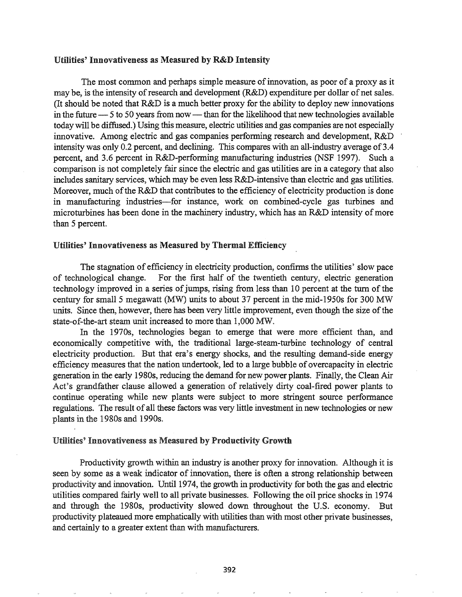## Utilities' Innovativeness as Measured by R&D Intensity

The most common and perhaps simple measure of innovation, as poor of a proxy as it may be, is the intensity of research and development (R&D) expenditure per dollar of net sales. (It should be noted that R&D is a much better proxy for the ability to deploy new innovations in the future  $-$  5 to 50 years from now  $-$  than for the likelihood that new technologies available today will be diffused.) Using this measure, electric utilities and gas companies are not especially innovative. Among electric and gas companies performing research and development, R&D intensity was only 0.2 percent, and declining. This compares with an all-industry average of 3.4 percent, and 3.6 percent in R&D-performing manufacturing industries (NSF 1997). Such a comparison is not completely fair since the electric and gas utilities are in a category that also includes sanitary services, which may be even less R&D-intensive than electric and gas utilities. Moreover, much of the R&D that contributes to the efficiency of electricity production is done in manufacturing industries-for instance, work on combined-cycle gas turbines and microturbines has been done in the machinery industry, which has an R&D intensity of more than 5 percent.

## Utilities' Innovativeness as Measured by Thermal Efficiency

The stagnation of efficiency in electricity production, confirms the utilities' slow pace of technological change. For the first half of the twentieth century, electric generation technology improved in a series of jumps, rising from less than 10 percent at the turn of the century for small 5 megawatt (MW) units to about 37 percent in the mid-1950s for 300 MW units. Since then, however, there has been very little improvement, even though the size of the state-of-the-art steam unit increased to more than  $1,000$  MW.

In the 1970s, technologies began to emerge that were more efficient than, and economically competitive with, the traditional large-stearn-turbine technology of central electricity production. But that era's energy shocks, and the resulting demand-side energy efficiency measures that the nation undertook, led to a large bubble of overcapacity in electric generation in the early 19808, reducing the demand for new power plants. Finally, the Clean Air Act's grandfather clause allowed a generation of relatively dirty coal-fired power plants to continue operating while new plants were subject to more stringent source performance regulations. The result of all these factors was very little investment in new technologies or new plants in the 1980s and 1990s.

#### Utilities' Innovativeness as Measured by Productivity Growth

Productivity growth within an industry is another proxy for innovation. Although it is seen by some as a weak indicator of innovation, there is often a strong relationship between productivity and innovation. Until 1974, the growth in productivity for both the gas and electric utilities compared fairly well to all private businesses. Following the oil price shocks in 1974 and through the 1980s, productivity slowed down throughout the U.S. economy. But productivity plateaued more emphatically with utilities than with most other private businesses, and certainly to a greater extent than with manufacturers.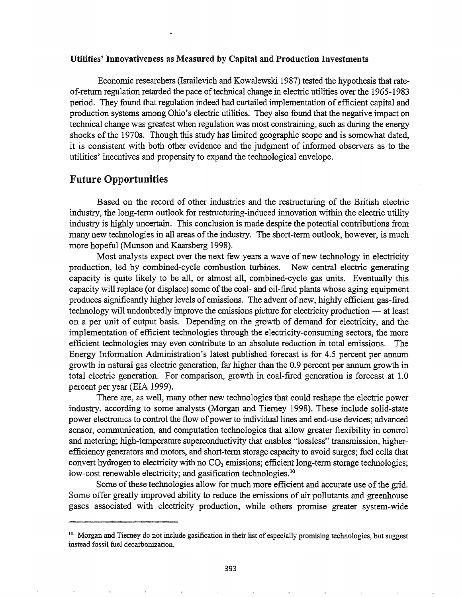### Utilities' Innovativeness as Measured by Capital and Production Investments

Economic researchers (Israilevich and Kowalewski 1987) tested the hypothesis that rateof-return regulation retarded the pace of technical change in electric utilities over the 1965-1983 period. They found that regulation indeed had curtailed implementation of efficient capital and production systems among Ohio's electric utilities. They also found that the negative impact on technical change was greatest when regulation was most constraining, such as during the energy shocks of the 1970s. Though this study has limited geographic scope and is somewhat dated, it is consistent with both other evidence and the judgment of infonned observers as to the utilities' incentives and propensity to expand the technological envelope.

# Future Opportunities

Based on the record of other industries and the restructuring of the British electric industry, the long-term outlook for restructuring-induced innovation within the electric utility industry is highly uncertain. This conclusion is made despite the potential contributions from many new technologies in all areas of the industry. The short-term outlook, however, is much more hopeful (Munson and Kaarsberg 1998).

Most analysts expect over the next few years a wave of new technology in electricity production, led by combined-cycle combustion turbines. New central electric generating capacity is quite likely to be all, or almost all, combined-cycle gas units. Eventually this capacity will replace (or displace) some of the coal- and oil-fired plants whose aging equipment produces significantly higher levels of emissions. The advent of new, highly efficient gas-fired technology will undoubtedly improve the emissions picture for electricity production — at least on a per unit of output basis. Depending on the growth of demand for electricity, and the implementation of efficient technologies through the electricity-consuming sectors, the more efficient technologies may even contribute to an absolute reduction in total emissions. The Energy Information Administration's latest published forecast is for 4.5 percent per annum growth in natural gas electric generation, far higher than the 0.9 percent per annum growth in total electric generation. For comparison, growth in coal-fired generation is forecast at 1.0 percent per year (EIA 1999).

There are, as well, many other new technologies that could reshape the electric power industry, according to some analysts (Morgan and Tierney 1998). These include solid-state power electronics to control the flow of power to individual lines and end-use devices; advanced sensor, communication, and computation technologies that allow greater flexibility in control and metering; high-temperature superconductivity that enables "lossless" transmission, higherefficiency generators and motors, and short-term storage capacity to avoid surges; fuel cells that convert hydrogen to electricity with no  $CO<sub>2</sub>$  emissions; efficient long-term storage technologies; low-cost renewable electricity; and gasification technologies.<sup>10</sup>

Some of these technologies allow for much more efficient and accurate use of the grid. Some offer greatly improved ability to reduce the emissions of air pollutants and greenhouse gases associated with electricity production, while others promise greater system-wide

<sup>&</sup>lt;sup>10.</sup> Morgan and Tierney do not include gasification in their list of especially promising technologies, but suggest instead fossil fuel decarbonization.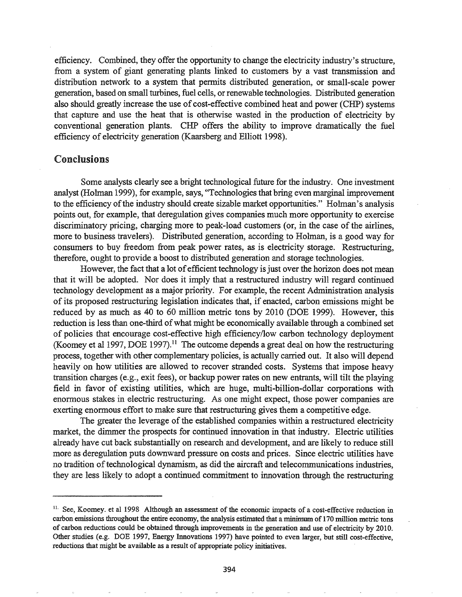efficiency. Combined, they offer the opportunity to change the electricity industry's structure, from a system of giant generating plants linked to customers by a vast transmission and distribution network to a system that permits distributed generation, or small-scale power generation, based on small turbines, fuel cells, or renewable technologies. Distributed generation also should greatly increase the use of cost-effective combined heat and power (CHP) systems that capture and use the heat that is otherwise wasted in the production of electricity by conventional generation plants. CHP offers the ability to improve dramatically the fuel efficiency of electricity generation (Kaarsberg and Elliott 1998).

## Conclusions

Some analysts clearly see a bright technological future for the industry. One investment analyst (Holman 1999), for example, says, "Technologies that bring even marginal improvement to the efficiency of the industry should create sizable market opportunities." Holman's analysis points out, for example, that deregulation gives companies much more opportunity to exercise discriminatory pricing, charging more to peak-load customers (or, in the case of the airlines, more to business travelers). Distributed generation, according to Holman, is a good way for consumers to buy freedom from peak power rates, as is electricity storage. Restructuring, therefore, ought to provide a boost to distributed generation and storage technologies.

However, the fact that a lot of efficient technology is just over the horizon does not mean that it will be adopted. Nor does it imply that a restructured industry will regard continued technology development as a major priority. For example, the recent Administration analysis ofits proposed restructuring legislation indicates that, jf enacted, carbon emissions might be reduced by as much as 40 to 60 million metric tons by 2010 (DOE 1999). However, this reduction is less than one-third of what might be economically available through a combined set of policies that encourage cost-effective high efficiency/low carbon technology deployment (Koomey et al 1997, DOE 1997).<sup>11</sup> The outcome depends a great deal on how the restructuring process, together with other complementary policies, is actually carried out. It also will depend heavily on how utilities are allowed to recover stranded costs. Systems that impose heavy transition charges (e.g., exit fees), or backup power rates on new entrants, will tilt the playing field in favor of existing utilities, which are huge, multi-billion-dollar corporations with enormous stakes in electric restructuring. As one might expect, those power companies are exerting enormous effort to make sure that restructuring gives them a competitive edge.

The greater the leverage of the established companies within a restructured electricity market, the dimmer the prospects for continued innovation in that industry. Electric utilities already have cut back substantially on research and development, and are likely to reduce still more as deregulation puts downward pressure on costs and prices. Since electric utilities have no tradition of technological dynamism, as did the aircraft and telecommunications industries, they are less likely to adopt a continued commitment to innovation through the restructuring

<sup>&</sup>lt;sup>11.</sup> See, Koomey. et al 1998 Although an assessment of the economic impacts of a cost-effective reduction in carbon emissions throughout the entire economy, the analysis estimated that a minimum of 170 million metric tons of carbon reductions could be obtained through improvements in the generation and use of electricity by 2010. Other studies (e.g. DOE 1997, Energy Innovations 1997) have pointed to even larger, but still cost-effective, reductions that might be available as a result of appropriate policy initiatives.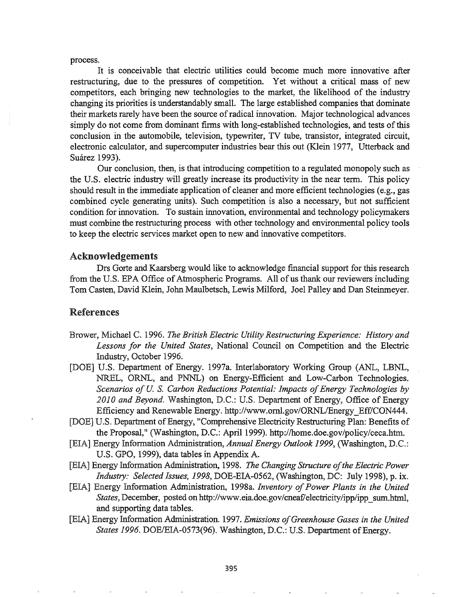process.

It is conceivable that electric utilities could become much more innovative after restructuring, due to the pressures of competition. Yet without a critical mass of new competitors, each bringing new technologies to the market, the likelihood of the industry changing its priorities is understandably small. The large established companies that dominate their markets rarely have been the source ofradical innovation. Major technological advances simply do not come from dominant firms with long-established technologies, and tests of this conclusion in the automobile, television, typewriter, TV tube, transistor, integrated circuit, electronic calculator, and supercomputer industries bear this out (Klein 1977, Utterback and Suárez 1993).

OUf conclusion, then, is that introducing competition to a regulated monopoly such as the U.S. electric industry will greatly increase its productivity in the near term. This policy should result in the immediate application of cleaner and more efficient technologies (e.g., gas combined cycle generating units). Such competition is also a necessary, but not sufficient condition for innovation. To sustain innovation, environmental and technology policymakers must combine the restructuring process with other technology and environmental policy tools to keep the electric services market open to new and innovative competitors.

### Acknowledgements

Drs Gorte and Kaarsberg would like to acknowledge financial support for this research from the U.S. EPA Office of Atmospheric Programs. All of us thank our reviewers including Tom Casten, David Klein, John Maulbetsch, Lewis Milford, Joel Palley and Dan Steinmeyer.

# References

- Brower, Michael C. 1996. *The British Electric Utility Restructuring Experience.· History and Lessons for the United States,* National Council on Competition and the Electric Industry, October 1996.
- [DOE] U.S. Department of Energy. 1997a. Interlaboratory Working Group (ANL, LBNL, NREL, ORNL, and PNNL) on Energy-Efficient and Low-Carbon Technologies. *Scenarios of U. S. Carbon Reductions Potential: Impacts of Energy Technologies by 2010 and Beyond.* Washington, D.C.: U.S. Department of Energy, Office of Energy Efficiency and Renewable Energy. http://www.oml.gov/ORNL/Energy\_Eff/CON444.
- [DOE] U.S. Department of Energy, "Comprehensive Electricity Restructuring Plan: Benefits of the Proposal," (Washington, D.C.: April 1999). http://home.doe.gov/policy/ceca.htm.
- [EIA] Energy Information Administration, *Annual Energy Outlook 1999*, (Washington, D.C.: U.S. GPO, 1999), data tables in Appendix A.
- Energy Information Administration, 1998. *The Changing Structure ofthe Electric Power Industry: Selected Issues, 1998, DOE-EIA-0562, (Washington, DC: July 1998), p. ix.*
- [EIA] Energy Information Administration, 1998a. *Inventory of Power Plants in the United States,* December, posted on http://www.eia.doe.gov/cneaf/electricity/ipp/ipp\_sum.html, and supporting data tables.
- [EIA] Energy Information Administration. 1997. *Emissions of Greenhouse Gases in the United States* 1996. DOE/EIA-0573(96). Washington, D.C.: U.S. Department of Energy.